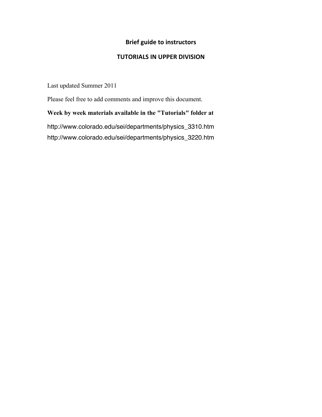# **Brief guide to instructors**

## **TUTORIALS IN UPPER DIVISION**

Last updated Summer 2011

Please feel free to add comments and improve this document.

**Week by week materials available in the "Tutorials" folder at** http://www.colorado.edu/sei/departments/physics\_3310.htm http://www.colorado.edu/sei/departments/physics\_3220.htm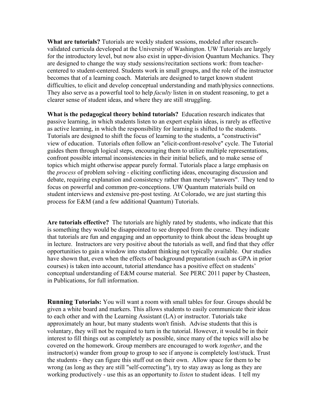**What are tutorials?** Tutorials are weekly student sessions, modeled after researchvalidated curricula developed at the University of Washington. UW Tutorials are largely for the introductory level, but now also exist in upper-division Quantum Mechanics. They are designed to change the way study sessions/recitation sections work: from teachercentered to student-centered. Students work in small groups, and the role of the instructor becomes that of a learning coach. Materials are designed to target known student difficulties, to elicit and develop conceptual understanding and math/physics connections. They also serve as a powerful tool to help *faculty* listen in on student reasoning, to get a clearer sense of student ideas, and where they are still struggling.

**What is the pedagogical theory behind tutorials?** Education research indicates that passive learning, in which students listen to an expert explain ideas, is rarely as effective as active learning, in which the responsibility for learning is shifted to the students. Tutorials are designed to shift the focus of learning to the students, a "constructivist" view of education. Tutorials often follow an "elicit-confront-resolve" cycle. The Tutorial guides them through logical steps, encouraging them to utilize multiple representations, confront possible internal inconsistencies in their initial beliefs, and to make sense of topics which might otherwise appear purely formal. Tutorials place a large emphasis on the *process* of problem solving - eliciting conflicting ideas, encouraging discussion and debate, requiring explanation and consistency rather than merely "answers". They tend to focus on powerful and common pre-conceptions. UW Quantum materials build on student interviews and extensive pre-post testing. At Colorado, we are just starting this process for E&M (and a few additional Quantum) Tutorials.

**Are tutorials effective?** The tutorials are highly rated by students, who indicate that this is something they would be disappointed to see dropped from the course. They indicate that tutorials are fun and engaging and an opportunity to think about the ideas brought up in lecture. Instructors are very positive about the tutorials as well, and find that they offer opportunities to gain a window into student thinking not typically available. Our studies have shown that, even when the effects of background preparation (such as GPA in prior courses) is taken into account, tutorial attendance has a positive effect on students' conceptual understanding of E&M course material. See PERC 2011 paper by Chasteen, in Publications, for full information.

**Running Tutorials:** You will want a room with small tables for four. Groups should be given a white board and markers. This allows students to easily communicate their ideas to each other and with the Learning Assistant (LA) or instructor. Tutorials take approximately an hour, but many students won't finish. Advise students that this is voluntary, they will not be required to turn in the tutorial. However, it would be in their interest to fill things out as completely as possible, since many of the topics will also be covered on the homework. Group members are encouraged to work *together*, and the instructor(s) wander from group to group to see if anyone is completely lost/stuck. Trust the students - they can figure this stuff out on their own. Allow space for them to be wrong (as long as they are still "self-correcting"), try to stay away as long as they are working productively - use this as an opportunity to *listen* to student ideas. I tell my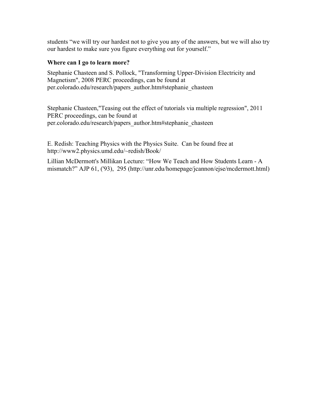students "we will try our hardest not to give you any of the answers, but we will also try our hardest to make sure you figure everything out for yourself."

### **Where can I go to learn more?**

Stephanie Chasteen and S. Pollock, "Transforming Upper-Division Electricity and Magnetism", 2008 PERC proceedings, can be found at per.colorado.edu/research/papers\_author.htm#stephanie\_chasteen

Stephanie Chasteen,"Teasing out the effect of tutorials via multiple regression", 2011 PERC proceedings, can be found at per.colorado.edu/research/papers\_author.htm#stephanie\_chasteen

E. Redish: Teaching Physics with the Physics Suite. Can be found free at http://www2.physics.umd.edu/~redish/Book/

Lillian McDermott's Millikan Lecture: "How We Teach and How Students Learn - A mismatch?" AJP 61, ('93), 295 (http://unr.edu/homepage/jcannon/ejse/mcdermott.html)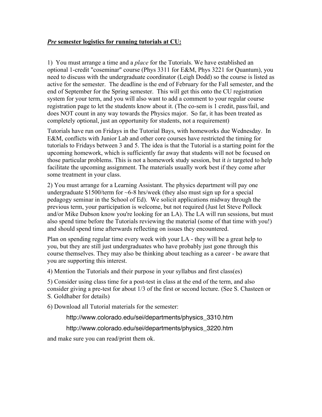## *Pre* **semester logistics for running tutorials at CU:**

1) You must arrange a time and a *place* for the Tutorials. We have established an optional 1-credit "coseminar" course (Phys 3311 for E&M, Phys 3221 for Quantum), you need to discuss with the undergraduate coordinator (Leigh Dodd) so the course is listed as active for the semester. The deadline is the end of February for the Fall semester, and the end of September for the Spring semester. This will get this onto the CU registration system for your term, and you will also want to add a comment to your regular course registration page to let the students know about it. (The co-sem is 1 credit, pass/fail, and does NOT count in any way towards the Physics major. So far, it has been treated as completely optional, just an opportunity for students, not a requirement)

Tutorials have run on Fridays in the Tutorial Bays, with homeworks due Wednesday. In E&M, conflicts with Junior Lab and other core courses have restricted the timing for tutorials to Fridays between 3 and 5. The idea is that the Tutorial is a starting point for the upcoming homework, which is sufficiently far away that students will not be focused on those particular problems. This is not a homework study session, but it *is* targeted to help facilitate the upcoming assignment. The materials usually work best if they come after some treatment in your class.

2) You must arrange for a Learning Assistant. The physics department will pay one undergraduate  $$1500/term$  for  $~6-8$  hrs/week (they also must sign up for a special pedagogy seminar in the School of Ed). We solicit applications midway through the previous term, your participation is welcome, but not required (Just let Steve Pollock and/or Mike Dubson know you're looking for an LA). The LA will run sessions, but must also spend time before the Tutorials reviewing the material (some of that time with you!) and should spend time afterwards reflecting on issues they encountered.

Plan on spending regular time every week with your LA - they will be a great help to you, but they are still just undergraduates who have probably just gone through this course themselves. They may also be thinking about teaching as a career - be aware that you are supporting this interest.

4) Mention the Tutorials and their purpose in your syllabus and first class(es)

5) Consider using class time for a post-test in class at the end of the term, and also consider giving a pre-test for about 1/3 of the first or second lecture. (See S. Chasteen or S. Goldhaber for details)

6) Download all Tutorial materials for the semester:

http://www.colorado.edu/sei/departments/physics\_3310.htm

http://www.colorado.edu/sei/departments/physics\_3220.htm

and make sure you can read/print them ok.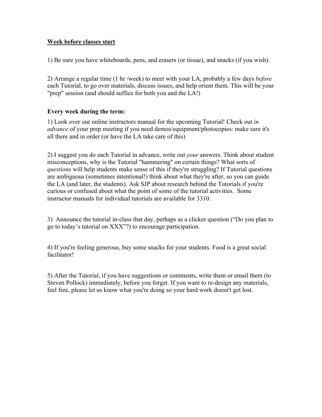## **Week before classes start**

1) Be sure you have whiteboards, pens, and erasers (or tissue), and snacks (if you wish).

2) Arrange a regular time (1 hr /week) to meet with your LA, probably a few days *before* each Tutorial, to go over materials, discuss issues, and help orient them. This will be your "prep" session (and should suffice for both you and the LA!)

## **Every week during the term:**

1) Look over our online instructors manual for the upcoming Tutorial! Check out *in advance* of your prep meeting if you need demos/equipment/photocopies: make sure it's all there and in order (or have the LA take care of this)

2) I suggest you do each Tutorial in advance, write out *your* answers. Think about student misconceptions, why is the Tutorial "hammering" on certain things? What sorts of *questions* will help students make sense of this if they're struggling? If Tutorial questions are ambiguous (sometimes intentional!) think about what they're after, so you can guide the LA (and later, the students). Ask SJP about research behind the Tutorials if you're curious or confused about what the point of some of the tutorial activities. Some instructor manuals for individual tutorials are available for 3310.

3) Announce the tutorial in-class that day, perhaps as a clicker question ("Do you plan to go to today's tutorial on XXX"?) to encourage participation.

4) If you're feeling generous, buy some snacks for your students. Food is a great social facilitator!

5) After the Tutorial, if you have suggestions or comments, write them or email them (to Steven Pollock) immediately, before you forget. If you want to re-design any materials, feel free, please let us know what you're doing so your hard work doesn't get lost.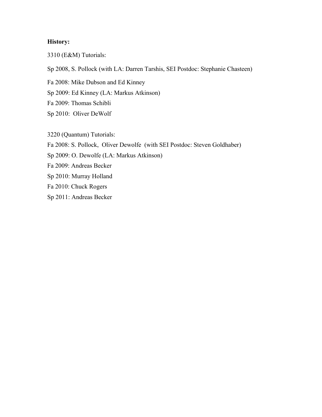## **History:**

3310 (E&M) Tutorials:

Sp 2008, S. Pollock (with LA: Darren Tarshis, SEI Postdoc: Stephanie Chasteen)

Fa 2008: Mike Dubson and Ed Kinney

Sp 2009: Ed Kinney (LA: Markus Atkinson)

Fa 2009: Thomas Schibli

Sp 2010: Oliver DeWolf

3220 (Quantum) Tutorials:

Fa 2008: S. Pollock, Oliver Dewolfe (with SEI Postdoc: Steven Goldhaber)

Sp 2009: O. Dewolfe (LA: Markus Atkinson)

Fa 2009: Andreas Becker

Sp 2010: Murray Holland

Fa 2010: Chuck Rogers

Sp 2011: Andreas Becker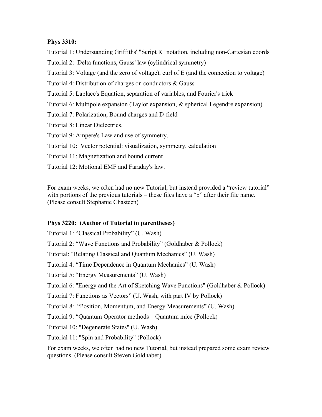### **Phys 3310:**

Tutorial 1: Understanding Griffiths' "Script R" notation, including non-Cartesian coords

Tutorial 2: Delta functions, Gauss' law (cylindrical symmetry)

Tutorial 3: Voltage (and the zero of voltage), curl of E (and the connection to voltage)

Tutorial 4: Distribution of charges on conductors & Gauss

Tutorial 5: Laplace's Equation, separation of variables, and Fourier's trick

Tutorial 6: Multipole expansion (Taylor expansion, & spherical Legendre expansion)

Tutorial 7: Polarization, Bound charges and D-field

Tutorial 8: Linear Dielectrics.

Tutorial 9: Ampere's Law and use of symmetry.

Tutorial 10: Vector potential: visualization, symmetry, calculation

Tutorial 11: Magnetization and bound current

Tutorial 12: Motional EMF and Faraday's law.

For exam weeks, we often had no new Tutorial, but instead provided a "review tutorial" with portions of the previous tutorials – these files have a "b" after their file name. (Please consult Stephanie Chasteen)

## **Phys 3220: (Author of Tutorial in parentheses)**

Tutorial 1: "Classical Probability" (U. Wash)

Tutorial 2: "Wave Functions and Probability" (Goldhaber & Pollock)

Tutorial: "Relating Classical and Quantum Mechanics" (U. Wash)

Tutorial 4: "Time Dependence in Quantum Mechanics" (U. Wash)

Tutorial 5: "Energy Measurements" (U. Wash)

Tutorial 6: "Energy and the Art of Sketching Wave Functions" (Goldhaber & Pollock)

Tutorial 7: Functions as Vectors" (U. Wash, with part IV by Pollock)

Tutorial 8: "Position, Momentum, and Energy Measurements" (U. Wash)

Tutorial 9: "Quantum Operator methods – Quantum mice (Pollock)

Tutorial 10: "Degenerate States" (U. Wash)

Tutorial 11: "Spin and Probability" (Pollock)

For exam weeks, we often had no new Tutorial, but instead prepared some exam review questions. (Please consult Steven Goldhaber)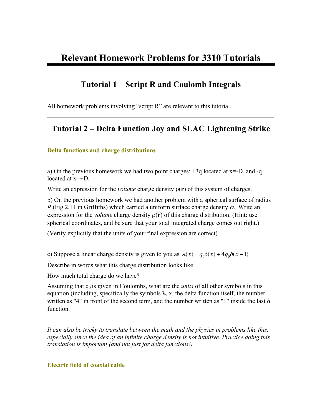# **Tutorial 1 – Script R and Coulomb Integrals**

All homework problems involving "script R" are relevant to this tutorial.

# **Tutorial 2 – Delta Function Joy and SLAC Lightening Strike**

### **Delta functions and charge distributions**

a) On the previous homework we had two point charges:  $+3q$  located at  $x=-D$ , and  $-q$ located at x=+D.

Write an expression for the *volume* charge density ρ(**r**) of this system of charges.

b) On the previous homework we had another problem with a spherical surface of radius *R* (Fig 2.11 in Griffiths) which carried a uniform surface charge density  $\sigma$ . Write an expression for the *volume* charge density  $\rho(r)$  of this charge distribution. (Hint: use spherical coordinates, and be sure that your total integrated charge comes out right.)

(Verify explicitly that the units of your final expression are correct)

c) Suppose a linear charge density is given to you as  $\lambda(x) = q_0 \delta(x) + 4q_0 \delta(x - 1)$ 

Describe in words what this charge distribution looks like.

How much total charge do we have?

Assuming that  $q_0$  is given in Coulombs, what are the *units* of all other symbols in this equation (including, specifically the symbols  $\lambda$ , x, the delta function itself, the number written as "4" in front of the second term, and the number written as "1" inside the last δ function.

*It can also be tricky to translate between the math and the physics in problems like this, especially since the idea of an infinite charge density is not intuitive. Practice doing this translation is important (and not just for delta functions!)*

### **Electric field of coaxial cable**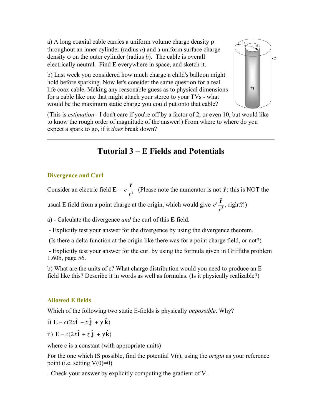a) A long coaxial cable carries a uniform volume charge density ρ throughout an inner cylinder (radius *a*) and a uniform surface charge density σ on the outer cylinder (radius *b*). The cable is overall electrically neutral. Find **E** everywhere in space, and sketch it.

b) Last week you considered how much charge a child's balloon might hold before sparking. Now let's consider the same question for a real life coax cable. Making any reasonable guess as to physical dimensions for a cable like one that might attach your stereo to your TVs - what would be the maximum static charge you could put onto that cable?



(This is *estimation* - I don't care if you're off by a factor of 2, or even 10, but would like to know the rough order of magnitude of the answer!) From where to where do you expect a spark to go, if it *does* break down?

# **Tutorial 3 – E Fields and Potentials**

## **Divergence and Curl**

Consider an electric field  $\mathbf{E} = c$  **r**   $\frac{1}{r^2}$  (Please note the numerator is not  $\hat{\mathbf{r}}$ : this is NOT the **r** 

usual E field from a point charge at the origin, which would give *c*'  $\frac{1}{r^3}$ , right?!)

€ a) - Calculate the divergence *and* the curl of this **E** field.

- Explicitly test your answer for the divergence by using the divergence theorem.

€ (Is there a delta function at the origin like there was for a point charge field, or not?)

- Explicitly test your answer for the curl by using the formula given in Griffiths problem 1.60b, page 56.

b) What are the units of c? What charge distribution would you need to produce an E field like this? Describe it in words as well as formulas. (Is it physically realizable?)

# **Allowed E fields**

Which of the following two static E-fields is physically *impossible*. Why?

i) 
$$
\mathbf{E} = c(2x\hat{\mathbf{i}} - x\hat{\mathbf{j}} + y\hat{\mathbf{k}})
$$

ii) 
$$
\mathbf{E} = c(2x\hat{\mathbf{i}} + z\hat{\mathbf{j}} + y\hat{\mathbf{k}})
$$

where c is a constant (with appropriate units)

For the one which IS possible, find the potential V(r), using the *origin* as your reference point (i.e. setting  $V(0)=0$ )

- Check your answer by explicitly computing the gradient of V.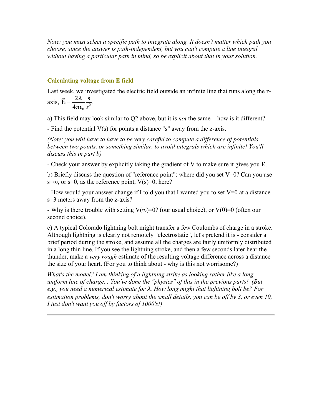*Note: you must select a specific path to integrate along. It doesn't matter which path you choose, since the answer is path-independent, but you can't compute a line integral without having a particular path in mind, so be explicit about that in your solution.* 

## **Calculating voltage from E field**

Last week, we investigated the electric field outside an infinite line that runs along the zaxis,  $\overline{a}$  $\vec{E} = \frac{2\lambda}{4} = \frac{\vec{s}}{2}$  $\frac{2}{2}$ .

$$
4XIS, \mathbf{E} = \frac{4\pi\epsilon_0}{\sigma^2}.
$$

a) This field may look similar to Q2 above, but it is *not* the same - how is it different?

- Find the potential V(s) for points a distance "s" away from the z-axis.

*(Note: you will have to have to be very careful to compute a difference of potentials between two points, or something similar, to avoid integrals which are infinite! You'll discuss this in part b)*

- Check your answer by explicitly taking the gradient of V to make sure it gives you **E**.

b) Briefly discuss the question of "reference point": where did you set V=0? Can you use s=∞, or s=0, as the reference point,  $V(s)=0$ , here?

- How would your answer change if I told you that I wanted you to set  $V=0$  at a distance s=3 meters away from the z-axis?

- Why is there trouble with setting  $V(\infty)=0$ ? (our usual choice), or  $V(0)=0$  (often our second choice).

c) A typical Colorado lightning bolt might transfer a few Coulombs of charge in a stroke. Although lightning is clearly not remotely "electrostatic", let's pretend it is - consider a brief period during the stroke, and assume all the charges are fairly uniformly distributed in a long thin line. If you see the lightning stroke, and then a few seconds later hear the thunder, make a *very rough* estimate of the resulting voltage difference across a distance the size of your heart. (For you to think about - why is this not worrisome?)

*What's the model? I am thinking of a lightning strike as looking rather like a long uniform line of charge... You've done the "physics" of this in the previous parts! (But e.g., you need a numerical estimate for* λ*. How long might that lightning bolt be? For estimation problems, don't worry about the small details, you can be off by 3, or even 10, I just don't want you off by factors of 1000's!)*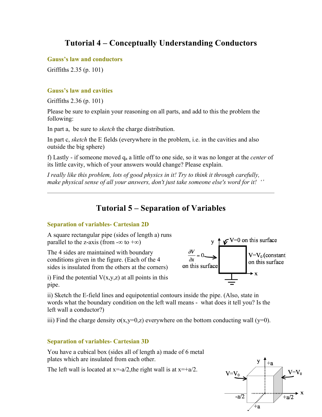# **Tutorial 4 – Conceptually Understanding Conductors**

**Gauss's law and conductors**

Griffiths 2.35 (p. 101)

## **Gauss's law and cavities**

Griffiths 2.36 (p. 101)

Please be sure to explain your reasoning on all parts, and add to this the problem the following:

In part a, be sure to *sketch* the charge distribution.

In part c, *sketch* the E fields (everywhere in the problem, i.e. in the cavities and also outside the big sphere)

f) Lastly - if someone moved qa a little off to one side, so it was no longer at the *center* of its little cavity, which of your answers would change? Please explain.

*I really like this problem, lots of good physics in it! Try to think it through carefully, make physical sense of all your answers, don't just take someone else's word for it! ''*

# **Tutorial 5 – Separation of Variables**

## **Separation of variables- Cartesian 2D**

A square rectangular pipe (sides of length a) runs parallel to the z-axis (from  $-\infty$  to  $+\infty$ )

The 4 sides are maintained with boundary conditions given in the figure. (Each of the 4 sides is insulated from the others at the corners)



i) Find the potential  $V(x,y,z)$  at all points in this pipe.

ii) Sketch the E-field lines and equipotential contours inside the pipe. (Also, state in words what the boundary condition on the left wall means - what does it tell you? Is the left wall a conductor?)

iii) Find the charge density  $\sigma(x,y=0,z)$  everywhere on the bottom conducting wall (y=0).

# **Separation of variables- Cartesian 3D**

You have a cubical box (sides all of length a) made of 6 metal plates which are insulated from each other.

The left wall is located at  $x=-a/2$ , the right wall is at  $x=-a/2$ .

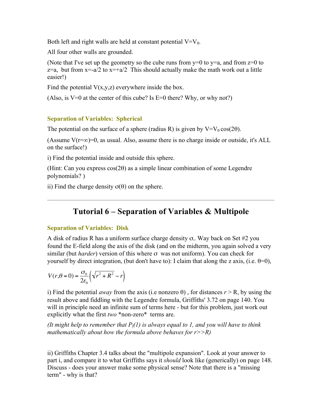Both left and right walls are held at constant potential  $V=V_0$ .

All four other walls are grounded.

(Note that I've set up the geometry so the cube runs from  $y=0$  to  $y=a$ , and from  $z=0$  to  $z=a$ , but from  $x=-a/2$  to  $x=+a/2$  This should actually make the math work out a little easier!)

Find the potential  $V(x,y,z)$  everywhere inside the box.

(Also, is  $V=0$  at the center of this cube? Is  $E=0$  there? Why, or why not?)

## **Separation of Variables: Spherical**

The potential on the surface of a sphere (radius R) is given by  $V=V_0 \cos(2\theta)$ .

(Assume  $V(r=\infty)=0$ , as usual. Also, assume there is no charge inside or outside, it's ALL on the surface!)

i) Find the potential inside and outside this sphere.

(Hint: Can you express cos(2θ) as a simple linear combination of some Legendre polynomials? )

ii) Find the charge density  $σ(θ)$  on the sphere.

# **Tutorial 6 – Separation of Variables & Multipole**

## **Separation of Variables: Disk**

A disk of radius R has a uniform surface charge density  $\sigma_{\rm o}$ . Way back on Set #2 you found the E-field along the axis of the disk (and on the midterm, you again solved a very similar (but *harder*) version of this where σ was not uniform). You can check for yourself by direct integration, (but don't have to): I claim that along the z axis, (i.e.  $θ=0$ ),

$$
V(r,\theta=0) = \frac{\sigma_0}{2\varepsilon_0} \left(\sqrt{r^2 + R^2} - r\right)
$$

i) Find the potential *away* from the axis (i.e nonzero  $\theta$ ), for distances  $r > R$ , by using the result above and fiddling with the Legendre formula, Griffiths' 3.72 on page 140. You will in principle need an infinite sum of terms here - but for this problem, just work out explicitly what the first *two* \*non-zero\* terms are.

*(It might help to remember that*  $P_l(1)$  *is always equal to 1, and you will have to think mathematically about how the formula above behaves for r>>R)* 

ii) Griffiths Chapter 3.4 talks about the "multipole expansion". Look at your answer to part i, and compare it to what Griffiths says it *should* look like (generically) on page 148. Discuss - does your answer make some physical sense? Note that there is a "missing term" - why is that?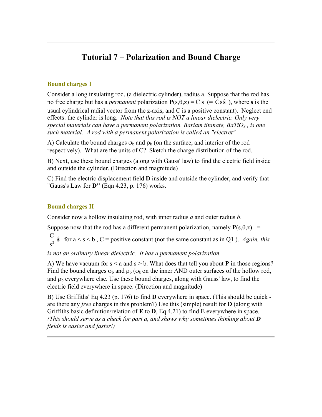# **Tutorial 7 – Polarization and Bound Charge**

## **Bound charges I**

Consider a long insulating rod, (a dielectric cylinder), radius a. Suppose that the rod has no free charge but has a *permanent* polarization  $P(s, \theta, z) = C s (= Cs \hat{s})$ , where *s* is the usual cylindrical radial vector from the z-axis, and C is a positive constant). Neglect end effects: the cylinder is long. *Note that this rod is NOT a linear dielectric. Only very special materials can have a permanent polarization. Bariam titanate, BaTiO<sub>3</sub>, is one such material. A rod with a permanent polarization is called an "electret".*

A) Calculate the bound charges  $\sigma_b$  and  $\rho_b$  (on the surface, and interior of the rod respectively). What are the units of C? Sketch the charge distribution of the rod.

B) Next, use these bound charges (along with Gauss' law) to find the electric field inside and outside the cylinder. (Direction and magnitude)

C) Find the electric displacement field **D** inside and outside the cylinder, and verify that "Gauss's Law for **D"** (Eqn 4.23, p. 176) works.

## **Bound charges II**

Consider now a hollow insulating rod, with inner radius *a* and outer radius *b*.

Suppose now that the rod has a different permanent polarization, namely  $P(s, \theta, z)$  =

 $\frac{C}{s^2}$  **s** for a < s < b, C = positive constant (not the same constant as in Q1). *Again, this* 

*is not an ordinary linear dielectric. It has a permanent polarization.*

A) We have vacuum for  $s < a$  and  $s > b$ . What does that tell you about **P** in those regions? Find the bound charges  $\sigma_b$  and  $\rho_b$  ( $\sigma_b$  on the inner AND outer surfaces of the hollow rod, and  $\rho_b$  everywhere else. Use these bound charges, along with Gauss' law, to find the electric field everywhere in space. (Direction and magnitude)

B) Use Griffiths' Eq 4.23 (p. 176) to find **D** everywhere in space. (This should be quick are there any *free* charges in this problem?) Use this (simple) result for **D** (along with Griffiths basic definition/relation of **E** to **D**, Eq 4.21) to find **E** everywhere in space. *(This should serve as a check for part a, and shows why sometimes thinking about D fields is easier and faster!)*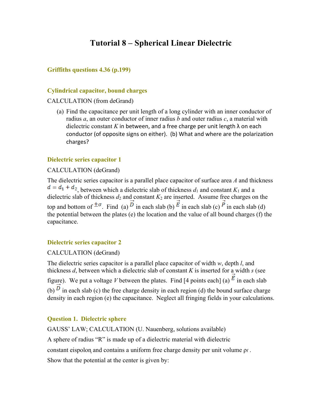# **Tutorial 8 – Spherical Linear Dielectric**

### **Griffiths questions 4.36 (p.199)**

#### **Cylindrical capacitor, bound charges**

#### CALCULATION (from deGrand)

(a) Find the capacitance per unit length of a long cylinder with an inner conductor of radius *a*, an outer conductor of inner radius *b* and outer radius *c*, a material with dielectric constant K in between, and a free charge per unit length  $\lambda$  on each conductor (of opposite signs on either). (b) What and where are the polarization charges?

### **Dielectric series capacitor 1**

#### CALCULATION (deGrand)

The dielectric series capacitor is a parallel place capacitor of surface area *A* and thickness  $d = d_1 + d_2$ , between which a dielectric slab of thickness  $d_1$  and constant  $K_1$  and a dielectric slab of thickness  $d_2$  and constant  $K_2$  are inserted. Assume free charges on the top and bottom of  $\pm \sigma$ . Find (a)  $\overrightarrow{D}$  in each slab (b)  $\overrightarrow{E}$  in each slab (c)  $\overrightarrow{P}$  in each slab (d) the potential between the plates (e) the location and the value of all bound charges (f) the capacitance.

### **Dielectric series capacitor 2**

### CALCULATION (deGrand)

The dielectric series capacitor is a parallel place capacitor of width *w*, depth *l*, and thickness *d*, between which a dielectric slab of constant *K* is inserted for a width *s* (see figure). We put a voltage *V* between the plates. Find [4 points each] (a)  $\overrightarrow{E}$  in each slab (b)  $\overrightarrow{D}$  in each slab (c) the free charge density in each region (d) the bound surface charge density in each region (e) the capacitance. Neglect all fringing fields in your calculations.

## **Question 1. Dielectric sphere**

GAUSS' LAW; CALCULATION (U. Nauenberg, solutions available) A sphere of radius "R" is made up of a dielectric material with dielectric constant eispolon and contains a uniform free charge density per unit volume *ρf*. Show that the potential at the center is given by: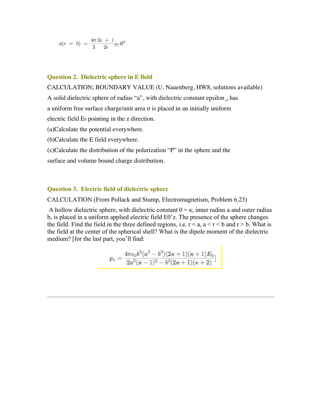$$
\phi(r = 0) = \frac{4\pi}{3} \frac{2\epsilon + 1}{2\epsilon} \rho_f R^2
$$

#### **Question 2. Dielectric sphere in E field**

CALCULATION; BOUNDARY VALUE (U. Nauenberg, HW8, solutions available)

A solid dielectric sphere of radius "a", with dielectric constant epsilon, has

a uniform free surface charge/unit area σ is placed in an initially uniform

electric field E0 pointing in the z direction.

(a)Calculate the potential everywhere.

(b)Calculate the E field everywhere.

(c)Calculate the distribution of the polarization "P" in the sphere and the surface and volume bound charge distribution.

#### **Question 3. Electric field of dielectric sphere**

CALCULATION (From Pollack and Stump, Electromagnetism, Problem 6.23)

A hollow dielectric sphere, with dielectric constant  $0 = \kappa$ , inner radius a and outer radius b, is placed in a uniform applied electric field E0ˆz. The presence of the sphere changes the field. Find the field in the three defined regions, i.e.  $r < a$ ,  $a < r < b$  and  $r > b$ . What is the field at the center of the spherical shell? What is the dipole moment of the dielectric medium? [for the last part, you'll find:

$$
p_z=\frac{4\pi\epsilon_0b^3(a^3-b^3)(2\kappa+1)(\kappa+1)E_0}{2a^3(\kappa-1)^2-b^3(2\kappa+1)(\kappa+2)}]
$$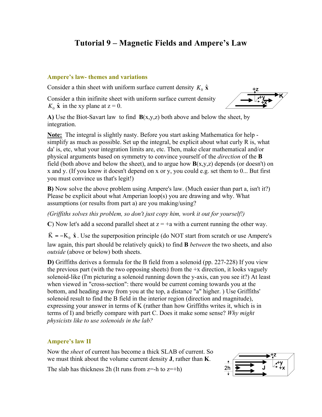# **Tutorial 9 – Magnetic Fields and Ampere's Law**

### **Ampere's law- themes and variations**

Consider a thin sheet with uniform surface current density  $K_0 \hat{\mathbf{x}}$ 

Consider a thin inifinite sheet with uniform surface current density  $K_0 \hat{\mathbf{x}}$  in the xy plane at  $z = 0$ .



A) Use the Biot-Savart law to find  $B(x,y,z)$  both above and below the sheet, by integration.

**Note:** The integral is slightly nasty. Before you start asking Mathematica for help simplify as much as possible. Set up the integral, be explicit about what curly R is, what da' is, etc, what your integration limits are, etc. Then, make clear mathematical and/or physical arguments based on symmetry to convince yourself of the *direction* of the **B**  field (both above and below the sheet), and to argue how  $\mathbf{B}(x,y,z)$  depends (or doesn't) on x and y. (If you know it doesn't depend on x or y, you could e.g. set them to 0... But first you must convince us that's legit!)

**B)** Now solve the above problem using Ampere's law. (Much easier than part a, isn't it?) Please be explicit about what Amperian loop(s) you are drawing and why. What assumptions (or results from part a) are you making/using?

*(Griffiths solves this problem, so don't just copy him, work it out for yourself!)*

**C**) Now let's add a second parallel sheet at  $z = +a$  with a current running the other way.

 $\vec{K}$  = −K<sub>0</sub>  $\hat{x}$ . Use the superposition principle (do NOT start from scratch or use Ampere's law again, this part should be relatively quick) to find **B** *between* the two sheets, and also *outside* (above or below) both sheets.

**D)** Griffiths derives a formula for the B field from a solenoid (pp. 227-228) If you view the previous part (with the two opposing sheets) from the  $+x$  direction, it looks vaguely solenoid-like (I'm picturing a solenoid running down the y-axis, can you see it?) At least when viewed in "cross-section": there would be current coming towards you at the bottom, and heading away from you at the top, a distance "a" higher. ) Use Griffiths' solenoid result to find the B field in the interior region (direction and magnitude), expressing your answer in terms of K (rather than how Griffiths writes it, which is in terms of I) and briefly compare with part C. Does it make some sense? *Why might physicists like to use solenoids in the lab?*

## **Ampere's law II**

Now the *sheet* of current has become a thick SLAB of current. So we must think about the volume current density **J**, rather than **K**.

The slab has thickness 2h (It runs from  $z=-h$  to  $z=+h$ )

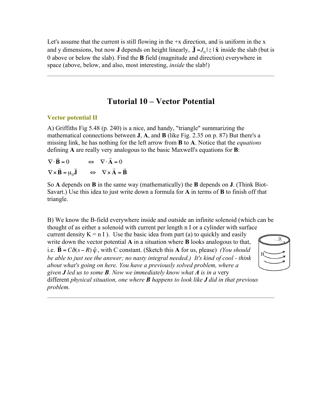Let's assume that the current is still flowing in the  $+x$  direction, and is uniform in the x and y dimensions, but now **J** depends on height linearly,  $\mathbf{J} = J_0 |z| \hat{\mathbf{x}}$  inside the slab (but is 0 above or below the slab). Find the **B** field (magnitude and direction) everywhere in space (above, below, and also, most interesting, *inside* the slab!)

# **Tutorial 10 – Vector Potential**

€

# **Vector potential II**

A) Griffiths Fig 5.48 (p. 240) is a nice, and handy, "triangle" summarizing the mathematical connections between **J**, **A**, and **B** (like Fig. 2.35 on p. 87) But there's a missing link, he has nothing for the left arrow from **B** to **A**. Notice that the *equations* defining **A** are really very analogous to the basic Maxwell's equations for **B**:

 $\nabla \times \mathbf{B} = \mu_0 \mathbf{J} \implies \nabla \times \mathbf{A} = \mathbf{B}$  $\nabla \cdot \mathbf{B} = 0 \qquad \Leftrightarrow \quad \nabla \cdot \mathbf{A} = 0$  $\vec{r}$  and  $\vec{r}$  $\begin{array}{cccccccccccccc} \mathbf{1} & \mathbf{1} & \mathbf{2} & \mathbf{3} & \mathbf{4} & \mathbf{5} & \mathbf{6} & \mathbf{7} & \mathbf{8} & \mathbf{8} & \mathbf{9} & \mathbf{10} & \mathbf{10} & \mathbf{10} & \mathbf{10} & \mathbf{10} & \mathbf{10} & \mathbf{10} & \mathbf{10} & \mathbf{10} & \mathbf{10} & \mathbf{10} & \mathbf{10} & \mathbf{10} & \mathbf{10} & \mathbf{10} & \mathbf{10} & \mathbf{1$ 

So **A** depends on **B** in the same way (mathematically) the **B** depends on **J**. (Think Biot-Savart.) Use this idea to just write down a formula for **A** in terms of **B** to finish off that triangle.

B) We know the B-field everywhere inside and outside an infinite solenoid (which can be thought of as either a solenoid with current per length n I or a cylinder with surface

current density  $K = n I$ ). Use the basic idea from part (a) to quickly and easily write down the vector potential **A** in a situation where **B** looks analogous to that, i.e.  $\mathbf{B} = C\delta(s - R)\hat{\varphi}$ , with C constant. (Sketch this **A** for us, please) *(You should be able to just see the answer; no nasty integral needed.) It's kind of cool - think about what's going on here. You have a previously solved problem, where a given J led us to some B. Now we immediately know what A is in a* very



different *physical situation, one where B happens to look like J did in that previous problem.*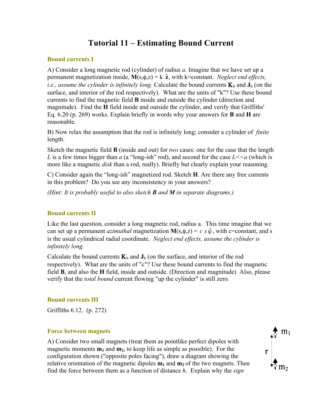# **Tutorial 11 – Estimating Bound Current**

### **Bound currents I**

A) Consider a long magnetic rod (cylinder) of radius *a*. Imagine that we have set up a permanent magnetization inside,  $M(s, \phi, z) = k \hat{z}$ , with k=constant. *Neglect end effects*, editions to find the hagnetic field inside and outside the cylinder, and verify that Griffiths' *i.e., assume the cylinder is infinitely long.* Calculate the bound currents  $\mathbf{K}_b$  and  $\mathbf{J}_b$  (on the surface, and interior of the rod respectively). What are the units of "k"? Use these bound currents to find the magnetic field **B** inside and outside the cylinder (direction and Eq. 6.20 (p. 269) works. Explain briefly in words why your answers for **B** and **H** are reasonable.

B) Now relax the assumption that the rod is infinitely long; consider a cylinder of *finite* length.

Sketch the magnetic field **B** (inside and out) for *two* cases: one for the case that the length *L* is a few times bigger than *a* (a "long-ish" rod), and second for the case  $L \leq a$  (which is more like a magnetic *disk* than a rod, really). Briefly but clearly explain your reasoning.

C) Consider again the "long-ish" magnetized rod. Sketch **H**. Are there any free currents in this problem? Do you see any inconsistency in your answers?

*(Hint: It is probably useful to also sketch B and M in separate diagrams.)*

### **Bound currents II**

Like the last question, consider a long magnetic rod, radius a. This time imagine that we can set up a permanent *azimuthal* magnetization  $M(s, \phi, z) = c s \hat{\varphi}$ , with c=constant, and s is the usual cylindrical radial coordinate. *Neglect end effects, assume the cylinder is infinitely long.*

Calculate the bound currents  $\mathbf{K}_b$  and  $\mathbf{J}_b$  (on the surface, and interior of the rod respectively). What are the units of "c"? Use these bound currents to find the magnetic field **B**, and also the **H** field, inside and outside. (Direction and magnitude) Also, please verify that the *total bound* current flowing "up the cylinder" is still zero.

#### **Bound currents III**

Griffiths 6.12. (p. 272)

#### **Force between magnets**

A) Consider two small magnets (treat them as pointlike perfect dipoles with magnetic moments  $m_1$  and  $m_2$ , to keep life as simple as possible). For the configuration shown ("opposite poles facing"), draw a diagram showing the relative orientation of the magnetic dipoles  $m_1$  and  $m_2$  of the two magnets. Then find the force between them as a function of distance *h*. Explain why the *sign*